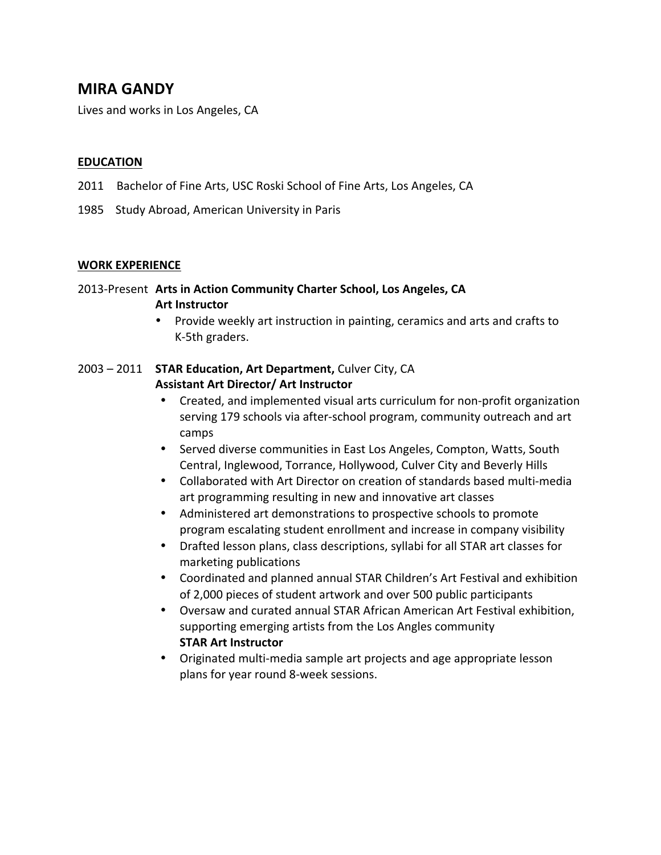## **MIRA GANDY**

Lives and works in Los Angeles, CA

### **EDUCATION**

- 2011 Bachelor of Fine Arts, USC Roski School of Fine Arts, Los Angeles, CA
- 1985 Study Abroad, American University in Paris

#### **WORK EXPERIENCE**

## 2013-Present Arts in Action Community Charter School, Los Angeles, CA **Art Instructor**

• Provide weekly art instruction in painting, ceramics and arts and crafts to K-5th graders.

## 2003 - 2011 **STAR Education, Art Department, Culver City, CA Assistant Art Director/ Art Instructor**

- Created, and implemented visual arts curriculum for non-profit organization serving 179 schools via after-school program, community outreach and art camps
- Served diverse communities in East Los Angeles, Compton, Watts, South Central, Inglewood, Torrance, Hollywood, Culver City and Beverly Hills
- Collaborated with Art Director on creation of standards based multi-media art programming resulting in new and innovative art classes
- Administered art demonstrations to prospective schools to promote program escalating student enrollment and increase in company visibility
- Drafted lesson plans, class descriptions, syllabi for all STAR art classes for marketing publications
- Coordinated and planned annual STAR Children's Art Festival and exhibition of 2,000 pieces of student artwork and over 500 public participants
- Oversaw and curated annual STAR African American Art Festival exhibition, supporting emerging artists from the Los Angles community **STAR Art Instructor**
- Originated multi-media sample art projects and age appropriate lesson plans for year round 8-week sessions.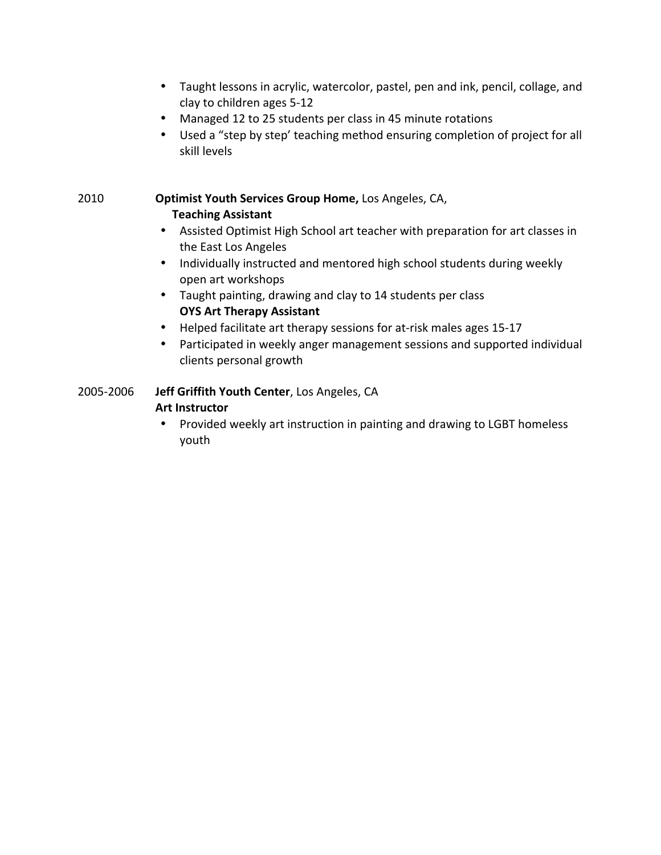- Taught lessons in acrylic, watercolor, pastel, pen and ink, pencil, collage, and clay to children ages 5-12
- Managed 12 to 25 students per class in 45 minute rotations
- Used a "step by step' teaching method ensuring completion of project for all skill levels

**2010 <b>Optimist Youth Services Group Home,** Los Angeles, CA, **Teaching Assistant** 

- Assisted Optimist High School art teacher with preparation for art classes in the East Los Angeles
- Individually instructed and mentored high school students during weekly open art workshops
- Taught painting, drawing and clay to 14 students per class **OYS Art Therapy Assistant**
- Helped facilitate art therapy sessions for at-risk males ages 15-17
- Participated in weekly anger management sessions and supported individual clients personal growth

# 2005-2006 **Jeff Griffith Youth Center**, Los Angeles, CA

## **Art Instructor**

• Provided weekly art instruction in painting and drawing to LGBT homeless youth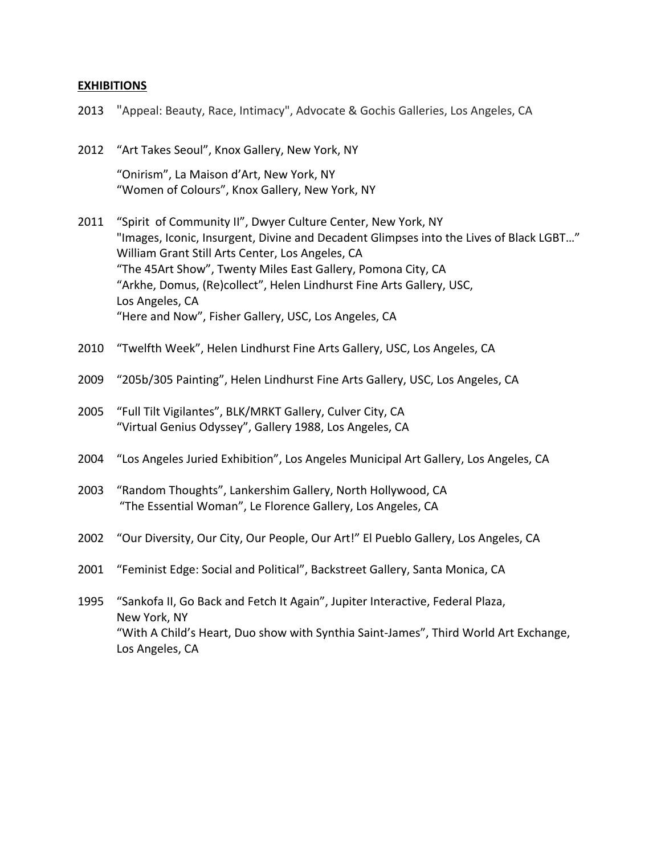## **EXHIBITIONS**

| 2013 | "Appeal: Beauty, Race, Intimacy", Advocate & Gochis Galleries, Los Angeles, CA                                                                                                                                                                                                                                                                                                                                                |
|------|-------------------------------------------------------------------------------------------------------------------------------------------------------------------------------------------------------------------------------------------------------------------------------------------------------------------------------------------------------------------------------------------------------------------------------|
| 2012 | "Art Takes Seoul", Knox Gallery, New York, NY                                                                                                                                                                                                                                                                                                                                                                                 |
|      | "Onirism", La Maison d'Art, New York, NY<br>"Women of Colours", Knox Gallery, New York, NY                                                                                                                                                                                                                                                                                                                                    |
| 2011 | "Spirit of Community II", Dwyer Culture Center, New York, NY<br>"Images, Iconic, Insurgent, Divine and Decadent Glimpses into the Lives of Black LGBT"<br>William Grant Still Arts Center, Los Angeles, CA<br>"The 45Art Show", Twenty Miles East Gallery, Pomona City, CA<br>"Arkhe, Domus, (Re)collect", Helen Lindhurst Fine Arts Gallery, USC,<br>Los Angeles, CA<br>"Here and Now", Fisher Gallery, USC, Los Angeles, CA |
| 2010 | "Twelfth Week", Helen Lindhurst Fine Arts Gallery, USC, Los Angeles, CA                                                                                                                                                                                                                                                                                                                                                       |
| 2009 | "205b/305 Painting", Helen Lindhurst Fine Arts Gallery, USC, Los Angeles, CA                                                                                                                                                                                                                                                                                                                                                  |
| 2005 | "Full Tilt Vigilantes", BLK/MRKT Gallery, Culver City, CA<br>"Virtual Genius Odyssey", Gallery 1988, Los Angeles, CA                                                                                                                                                                                                                                                                                                          |
| 2004 | "Los Angeles Juried Exhibition", Los Angeles Municipal Art Gallery, Los Angeles, CA                                                                                                                                                                                                                                                                                                                                           |
| 2003 | "Random Thoughts", Lankershim Gallery, North Hollywood, CA<br>"The Essential Woman", Le Florence Gallery, Los Angeles, CA                                                                                                                                                                                                                                                                                                     |
| 2002 | "Our Diversity, Our City, Our People, Our Art!" El Pueblo Gallery, Los Angeles, CA                                                                                                                                                                                                                                                                                                                                            |
| 2001 | "Feminist Edge: Social and Political", Backstreet Gallery, Santa Monica, CA                                                                                                                                                                                                                                                                                                                                                   |
| 1995 | "Sankofa II, Go Back and Fetch It Again", Jupiter Interactive, Federal Plaza,<br>New York, NY<br>"With A Child's Heart, Duo show with Synthia Saint-James", Third World Art Exchange,<br>Los Angeles, CA                                                                                                                                                                                                                      |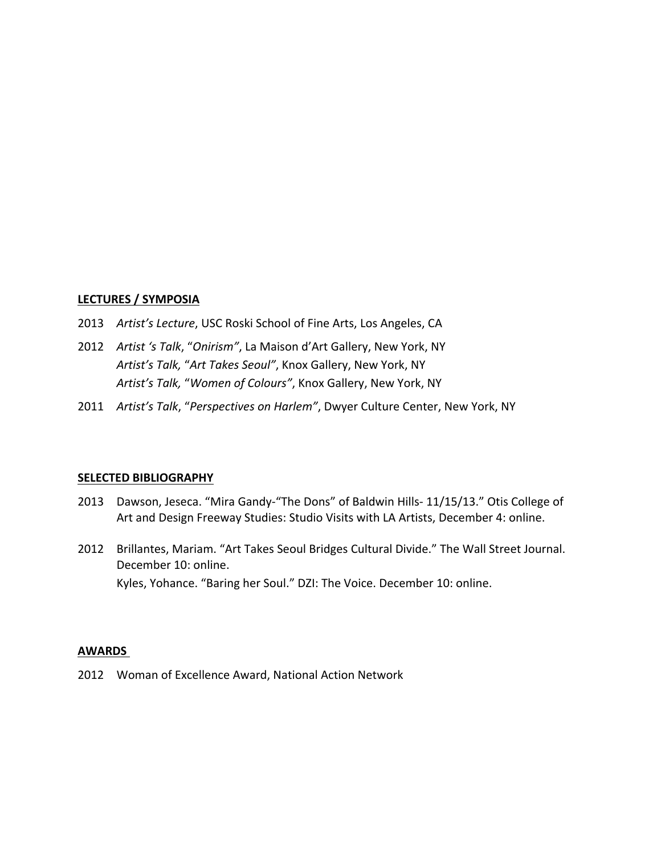#### **LECTURES / SYMPOSIA**

- 2013 Artist's Lecture, USC Roski School of Fine Arts, Los Angeles, CA
- 2012 Artist 's Talk, "Onirism", La Maison d'Art Gallery, New York, NY Artist's Talk, "Art Takes Seoul", Knox Gallery, New York, NY Artist's Talk, "Women of Colours", Knox Gallery, New York, NY
- 2011 Artist's Talk, "Perspectives on Harlem", Dwyer Culture Center, New York, NY

#### **SELECTED BIBLIOGRAPHY**

- 2013 Dawson, Jeseca. "Mira Gandy-"The Dons" of Baldwin Hills- 11/15/13." Otis College of Art and Design Freeway Studies: Studio Visits with LA Artists, December 4: online.
- 2012 Brillantes, Mariam. "Art Takes Seoul Bridges Cultural Divide." The Wall Street Journal. December 10: online. Kyles, Yohance. "Baring her Soul." DZI: The Voice. December 10: online.

#### **AWARDS**

2012 Woman of Excellence Award, National Action Network